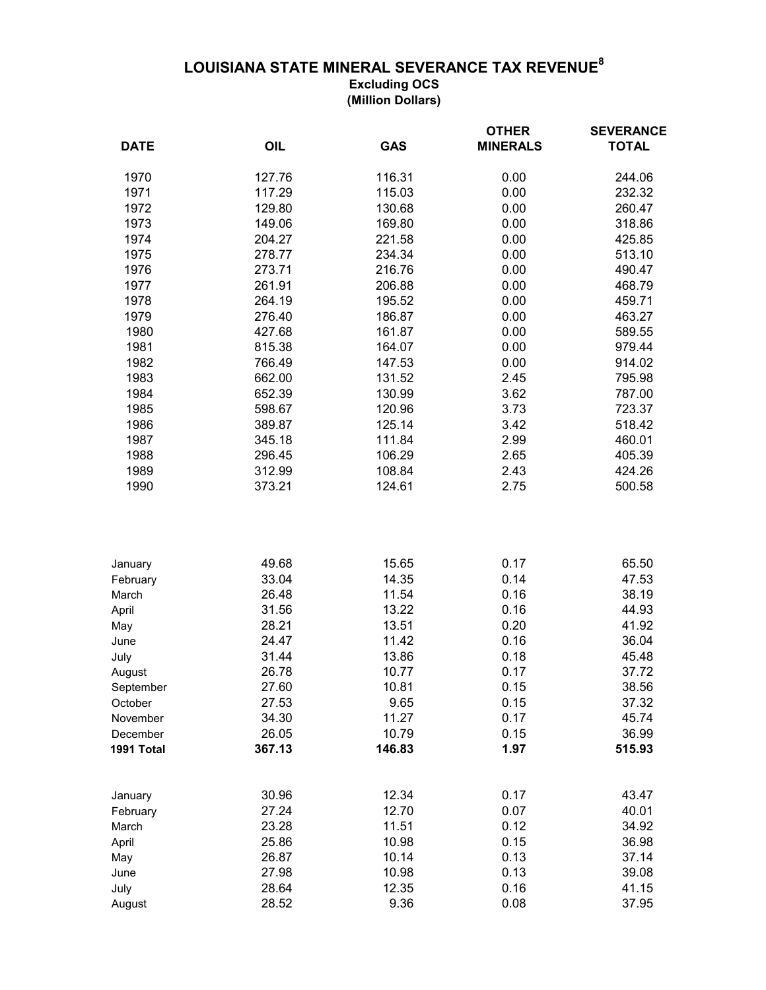## **LOUISIANA STATE MINERAL SEVERANCE TAX REVENUE<sup>8</sup>**

**Excluding OCS (Million Dollars)**

| <b>DATE</b> | OIL    | <b>GAS</b> | <b>OTHER</b><br><b>MINERALS</b> | <b>SEVERANCE</b><br><b>TOTAL</b> |
|-------------|--------|------------|---------------------------------|----------------------------------|
|             |        |            |                                 |                                  |
| 1970        | 127.76 | 116.31     | 0.00                            | 244.06                           |
| 1971        | 117.29 | 115.03     | 0.00                            | 232.32                           |
| 1972        | 129.80 | 130.68     | 0.00                            | 260.47                           |
| 1973        | 149.06 | 169.80     | 0.00                            | 318.86                           |
| 1974        | 204.27 | 221.58     | 0.00                            | 425.85                           |
| 1975        | 278.77 | 234.34     | 0.00                            | 513.10                           |
| 1976        | 273.71 | 216.76     | 0.00                            | 490.47                           |
| 1977        | 261.91 | 206.88     | 0.00                            | 468.79                           |
| 1978        | 264.19 | 195.52     | 0.00                            | 459.71                           |
| 1979        | 276.40 | 186.87     | 0.00                            | 463.27                           |
| 1980        | 427.68 | 161.87     | 0.00                            | 589.55                           |
| 1981        | 815.38 | 164.07     | 0.00                            | 979.44                           |
| 1982        | 766.49 | 147.53     | 0.00                            | 914.02                           |
| 1983        | 662.00 | 131.52     | 2.45                            | 795.98                           |
| 1984        | 652.39 | 130.99     | 3.62                            | 787.00                           |
| 1985        | 598.67 | 120.96     | 3.73                            | 723.37                           |
| 1986        | 389.87 | 125.14     | 3.42                            | 518.42                           |
| 1987        | 345.18 | 111.84     | 2.99                            | 460.01                           |
| 1988        | 296.45 | 106.29     | 2.65                            | 405.39                           |
| 1989        | 312.99 | 108.84     | 2.43                            | 424.26                           |
| 1990        | 373.21 | 124.61     | 2.75                            | 500.58                           |
|             |        |            |                                 |                                  |
| January     | 49.68  | 15.65      | 0.17                            | 65.50                            |
| February    | 33.04  | 14.35      | 0.14                            | 47.53                            |
| March       | 26.48  | 11.54      | 0.16                            | 38.19                            |
| April       | 31.56  | 13.22      | 0.16                            | 44.93                            |
| May         | 28.21  | 13.51      | 0.20                            | 41.92                            |
| June        | 24.47  | 11.42      | 0.16                            | 36.04                            |
| July        | 31.44  | 13.86      | 0.18                            | 45.48                            |
| August      | 26.78  | 10.77      | 0.17                            | 37.72                            |
| September   | 27.60  | 10.81      | 0.15                            | 38.56                            |
| October     | 27.53  | 9.65       | 0.15                            | 37.32                            |
| November    | 34.30  | 11.27      | 0.17                            | 45.74                            |
| December    | 26.05  | 10.79      | 0.15                            | 36.99                            |
| 1991 Total  | 367.13 | 146.83     | 1.97                            | 515.93                           |
| January     | 30.96  | 12.34      | 0.17                            | 43.47                            |
| February    | 27.24  | 12.70      | 0.07                            | 40.01                            |
| March       | 23.28  | 11.51      | 0.12                            | 34.92                            |
| April       | 25.86  | 10.98      | 0.15                            | 36.98                            |
| May         | 26.87  | 10.14      | 0.13                            | 37.14                            |
| June        | 27.98  | 10.98      | 0.13                            | 39.08                            |
| July        | 28.64  | 12.35      | 0.16                            | 41.15                            |
| August      | 28.52  | 9.36       | 0.08                            | 37.95                            |
|             |        |            |                                 |                                  |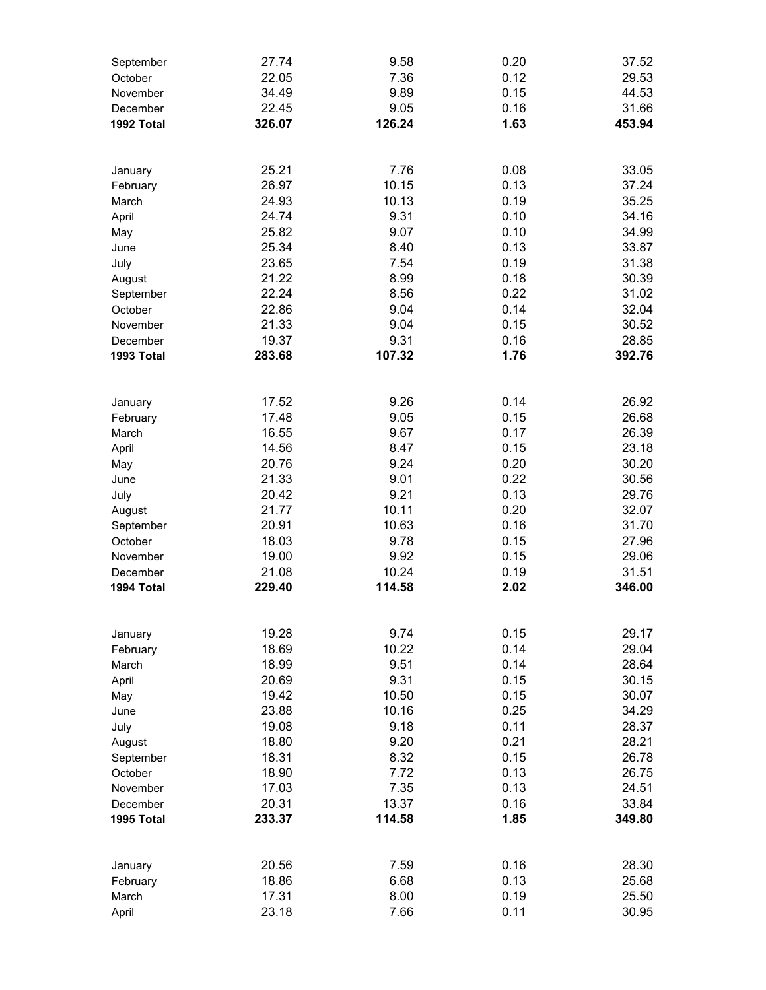| September              | 27.74          | 9.58            | 0.20         | 37.52          |
|------------------------|----------------|-----------------|--------------|----------------|
| October                | 22.05          | 7.36            | 0.12         | 29.53          |
| November               | 34.49          | 9.89            | 0.15         | 44.53          |
| December               | 22.45          | 9.05            | 0.16         | 31.66          |
| 1992 Total             | 326.07         | 126.24          | 1.63         | 453.94         |
| January                | 25.21          | 7.76            | 0.08         | 33.05          |
| February               | 26.97          | 10.15           | 0.13         | 37.24          |
| March                  | 24.93          | 10.13           | 0.19         | 35.25          |
| April                  | 24.74          | 9.31            | 0.10         | 34.16          |
| May                    | 25.82          | 9.07            | 0.10         | 34.99          |
| June                   | 25.34          | 8.40            | 0.13         | 33.87          |
| July                   | 23.65          | 7.54            | 0.19<br>0.18 | 31.38          |
| August<br>September    | 21.22<br>22.24 | 8.99<br>8.56    | 0.22         | 30.39<br>31.02 |
| October                | 22.86          | 9.04            | 0.14         | 32.04          |
| November               | 21.33          | 9.04            | 0.15         | 30.52          |
| December               | 19.37          | 9.31            | 0.16         | 28.85          |
| 1993 Total             | 283.68         | 107.32          | 1.76         | 392.76         |
|                        |                |                 |              |                |
| January                | 17.52          | 9.26            | 0.14         | 26.92          |
| February               | 17.48<br>16.55 | 9.05<br>9.67    | 0.15<br>0.17 | 26.68<br>26.39 |
| March<br>April         | 14.56          | 8.47            | 0.15         | 23.18          |
| May                    | 20.76          | 9.24            | 0.20         | 30.20          |
| June                   | 21.33          | 9.01            | 0.22         | 30.56          |
| July                   | 20.42          | 9.21            | 0.13         | 29.76          |
| August                 | 21.77          | 10.11           | 0.20         | 32.07          |
| September              | 20.91          | 10.63           | 0.16         | 31.70          |
| October                | 18.03          | 9.78            | 0.15         | 27.96          |
| November               | 19.00<br>21.08 | 9.92            | 0.15         | 29.06<br>31.51 |
| December<br>1994 Total | 229.40         | 10.24<br>114.58 | 0.19<br>2.02 | 346.00         |
|                        |                |                 |              |                |
| January                | 19.28          | 9.74            | 0.15         | 29.17          |
| February               | 18.69          | 10.22           | 0.14         | 29.04          |
| March                  | 18.99<br>20.69 | 9.51<br>9.31    | 0.14<br>0.15 | 28.64<br>30.15 |
| April<br>May           | 19.42          | 10.50           | 0.15         | 30.07          |
| June                   | 23.88          | 10.16           | 0.25         | 34.29          |
| July                   | 19.08          | 9.18            | 0.11         | 28.37          |
| August                 | 18.80          | 9.20            | 0.21         | 28.21          |
| September              | 18.31          | 8.32            | 0.15         | 26.78          |
| October                | 18.90          | 7.72            | 0.13         | 26.75          |
| November               | 17.03          | 7.35            | 0.13         | 24.51          |
| December               | 20.31          | 13.37           | 0.16         | 33.84          |
| 1995 Total             | 233.37         | 114.58          | 1.85         | 349.80         |
| January                | 20.56          | 7.59            | 0.16         | 28.30          |
| February               | 18.86          | 6.68            | 0.13         | 25.68          |
| March                  | 17.31          | 8.00            | 0.19         | 25.50          |
| April                  | 23.18          | 7.66            | 0.11         | 30.95          |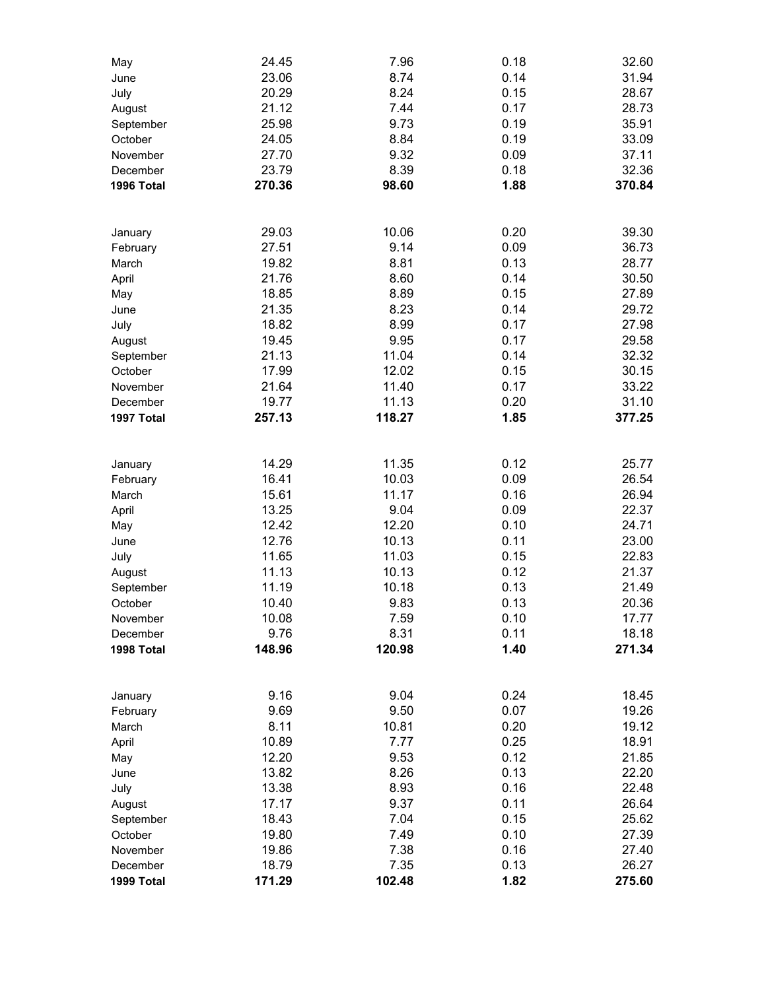| May        | 24.45  | 7.96          | 0.18         | 32.60          |
|------------|--------|---------------|--------------|----------------|
| June       | 23.06  | 8.74          | 0.14         | 31.94          |
| July       | 20.29  | 8.24          | 0.15         | 28.67          |
| August     | 21.12  | 7.44          | 0.17         | 28.73          |
| September  | 25.98  | 9.73          | 0.19         | 35.91          |
| October    | 24.05  | 8.84          | 0.19         | 33.09          |
| November   | 27.70  | 9.32          | 0.09         | 37.11          |
| December   | 23.79  | 8.39          | 0.18         | 32.36          |
| 1996 Total | 270.36 | 98.60         | 1.88         | 370.84         |
|            |        |               |              |                |
|            |        |               |              |                |
| January    | 29.03  | 10.06         | 0.20         | 39.30          |
| February   | 27.51  | 9.14          | 0.09         | 36.73          |
| March      | 19.82  | 8.81          | 0.13         | 28.77          |
| April      | 21.76  | 8.60          | 0.14         | 30.50          |
| May        | 18.85  | 8.89          | 0.15         | 27.89          |
| June       | 21.35  | 8.23          | 0.14         | 29.72          |
| July       | 18.82  | 8.99          | 0.17         | 27.98          |
| August     | 19.45  | 9.95          | 0.17         | 29.58          |
| September  | 21.13  | 11.04         | 0.14         | 32.32          |
| October    | 17.99  | 12.02         | 0.15         | 30.15          |
| November   | 21.64  | 11.40         | 0.17         | 33.22          |
| December   | 19.77  | 11.13         | 0.20         | 31.10          |
| 1997 Total | 257.13 | 118.27        | 1.85         | 377.25         |
|            |        |               |              |                |
| January    | 14.29  | 11.35         | 0.12         | 25.77          |
| February   | 16.41  | 10.03         | 0.09         | 26.54          |
| March      | 15.61  | 11.17         | 0.16         | 26.94          |
| April      | 13.25  | 9.04          | 0.09         | 22.37          |
| May        | 12.42  | 12.20         | 0.10         | 24.71          |
| June       | 12.76  | 10.13         | 0.11         | 23.00          |
| July       | 11.65  | 11.03         | 0.15         | 22.83          |
| August     | 11.13  | 10.13         | 0.12         | 21.37          |
| September  | 11.19  | 10.18         | 0.13         | 21.49          |
| October    | 10.40  | 9.83          | 0.13         | 20.36          |
| November   | 10.08  | 7.59          | 0.10         | 17.77          |
| December   | 9.76   | 8.31          | 0.11         | 18.18          |
| 1998 Total | 148.96 | 120.98        | 1.40         | 271.34         |
|            |        |               |              |                |
|            | 9.16   | 9.04          | 0.24         | 18.45          |
| January    | 9.69   | 9.50          | 0.07         | 19.26          |
| February   |        |               |              | 19.12          |
| March      | 8.11   | 10.81<br>7.77 | 0.20<br>0.25 | 18.91          |
| April      | 10.89  |               |              |                |
| May        | 12.20  | 9.53          | 0.12         | 21.85<br>22.20 |
| June       | 13.82  | 8.26          | 0.13         |                |
| July       | 13.38  | 8.93          | 0.16         | 22.48          |
| August     | 17.17  | 9.37          | 0.11         | 26.64          |
| September  | 18.43  | 7.04          | 0.15         | 25.62          |
| October    | 19.80  | 7.49          | 0.10         | 27.39          |
| November   | 19.86  | 7.38          | 0.16         | 27.40          |
| December   | 18.79  | 7.35          | 0.13         | 26.27          |
| 1999 Total | 171.29 | 102.48        | 1.82         | 275.60         |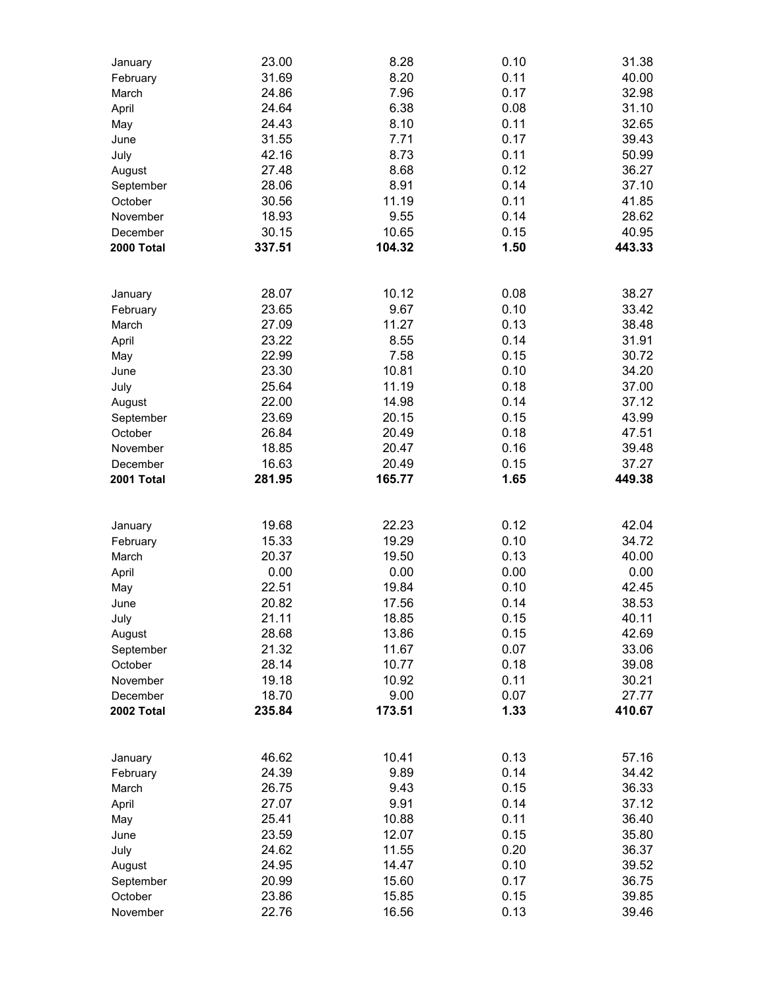| January             | 23.00          | 8.28           | 0.10         | 31.38          |
|---------------------|----------------|----------------|--------------|----------------|
| February            | 31.69          | 8.20           | 0.11         | 40.00          |
| March               | 24.86          | 7.96           | 0.17         | 32.98          |
| April               | 24.64          | 6.38           | 0.08         | 31.10          |
| May                 | 24.43          | 8.10           | 0.11         | 32.65          |
| June                | 31.55          | 7.71           | 0.17         | 39.43          |
| July                | 42.16          | 8.73           | 0.11         | 50.99          |
| August              | 27.48          | 8.68           | 0.12         | 36.27          |
| September           | 28.06          | 8.91           | 0.14         | 37.10          |
| October             | 30.56          | 11.19          | 0.11         | 41.85          |
| November            | 18.93          | 9.55           | 0.14         | 28.62          |
| December            | 30.15          | 10.65          | 0.15         | 40.95          |
| 2000 Total          | 337.51         | 104.32         | 1.50         | 443.33         |
|                     |                |                |              |                |
| January             | 28.07          | 10.12          | 0.08         | 38.27          |
| February            | 23.65          | 9.67           | 0.10         | 33.42          |
| March               | 27.09          | 11.27          | 0.13         | 38.48          |
| April               | 23.22          | 8.55           | 0.14         | 31.91          |
| May                 | 22.99          | 7.58           | 0.15         | 30.72          |
| June                | 23.30          | 10.81          | 0.10         | 34.20          |
| July                | 25.64          | 11.19          | 0.18         | 37.00          |
| August              | 22.00          | 14.98          | 0.14         | 37.12          |
| September           | 23.69          | 20.15          | 0.15         | 43.99          |
| October             | 26.84          | 20.49          | 0.18         | 47.51          |
| November            | 18.85          | 20.47          | 0.16         | 39.48          |
| December            | 16.63          | 20.49          | 0.15         | 37.27          |
| 2001 Total          | 281.95         | 165.77         | 1.65         | 449.38         |
|                     |                |                |              |                |
| January             | 19.68          | 22.23          | 0.12         | 42.04          |
| February            | 15.33          | 19.29          | 0.10         | 34.72          |
| March               | 20.37          | 19.50          | 0.13         | 40.00          |
| April               | 0.00           | 0.00           | 0.00         | 0.00           |
| May                 | 22.51          | 19.84          | 0.10         | 42.45          |
| June                | 20.82          | 17.56          | 0.14         | 38.53          |
| July                | 21.11          | 18.85          | 0.15         | 40.11          |
| August              | 28.68          | 13.86          | 0.15         | 42.69          |
| September           | 21.32          | 11.67          | 0.07         | 33.06          |
| October             | 28.14          | 10.77          | 0.18         | 39.08          |
| November            | 19.18          | 10.92          | 0.11         | 30.21          |
| December            | 18.70          | 9.00           | 0.07         | 27.77          |
| 2002 Total          | 235.84         | 173.51         | 1.33         | 410.67         |
|                     |                |                |              |                |
| January             | 46.62          | 10.41          | 0.13         | 57.16          |
| February            | 24.39          | 9.89           | 0.14         | 34.42          |
| March               | 26.75          | 9.43           | 0.15         | 36.33          |
| April               | 27.07          | 9.91           | 0.14         | 37.12          |
| May                 | 25.41          | 10.88          | 0.11         | 36.40          |
| June                | 23.59          | 12.07          | 0.15         | 35.80          |
| July                | 24.62          | 11.55          | 0.20         | 36.37          |
| August              | 24.95          | 14.47          | 0.10         | 39.52          |
| September           | 20.99          | 15.60          | 0.17         | 36.75          |
| October<br>November | 23.86<br>22.76 | 15.85<br>16.56 | 0.15<br>0.13 | 39.85<br>39.46 |
|                     |                |                |              |                |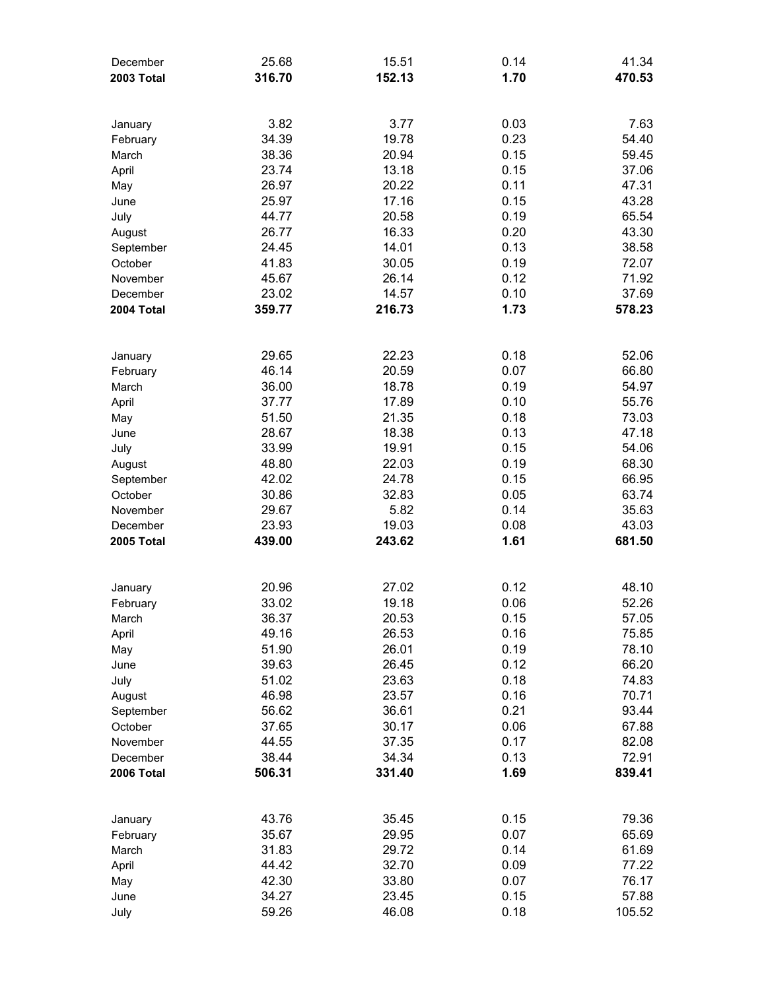| December<br>2003 Total        | 25.68<br>316.70 | 15.51<br>152.13 | 0.14<br>1.70 | 41.34<br>470.53 |
|-------------------------------|-----------------|-----------------|--------------|-----------------|
|                               |                 |                 |              |                 |
| January                       | 3.82            | 3.77            | 0.03         | 7.63            |
| February                      | 34.39           | 19.78           | 0.23         | 54.40           |
| March                         | 38.36           | 20.94           | 0.15         | 59.45           |
| April                         | 23.74           | 13.18           | 0.15         | 37.06           |
| May                           | 26.97           | 20.22           | 0.11         | 47.31           |
| June                          | 25.97<br>44.77  | 17.16           | 0.15         | 43.28           |
| July                          | 26.77           | 20.58<br>16.33  | 0.19<br>0.20 | 65.54<br>43.30  |
| August<br>September           | 24.45           | 14.01           | 0.13         | 38.58           |
| October                       | 41.83           | 30.05           | 0.19         | 72.07           |
| November                      | 45.67           | 26.14           | 0.12         | 71.92           |
| December                      | 23.02           | 14.57           | 0.10         | 37.69           |
| 2004 Total                    | 359.77          | 216.73          | 1.73         | 578.23          |
|                               |                 |                 |              |                 |
| January                       | 29.65           | 22.23           | 0.18         | 52.06           |
| February                      | 46.14           | 20.59           | 0.07         | 66.80           |
| March                         | 36.00           | 18.78           | 0.19         | 54.97           |
| April                         | 37.77           | 17.89           | 0.10         | 55.76           |
| May                           | 51.50           | 21.35           | 0.18         | 73.03           |
| June                          | 28.67           | 18.38           | 0.13         | 47.18           |
| July                          | 33.99           | 19.91           | 0.15         | 54.06           |
| August                        | 48.80           | 22.03           | 0.19         | 68.30           |
| September                     | 42.02           | 24.78           | 0.15         | 66.95           |
| October                       | 30.86           | 32.83           | 0.05<br>0.14 | 63.74<br>35.63  |
| November<br>December          | 29.67<br>23.93  | 5.82<br>19.03   | 0.08         | 43.03           |
| 2005 Total                    | 439.00          | 243.62          | 1.61         | 681.50          |
|                               |                 |                 |              |                 |
| January                       | 20.96           | 27.02           | 0.12         | 48.10           |
| February                      | 33.02           | 19.18           | 0.06         | 52.26           |
| March                         | 36.37           | 20.53           | 0.15         | 57.05           |
| April                         | 49.16           | 26.53           | 0.16         | 75.85           |
| May                           | 51.90           | 26.01           | 0.19         | 78.10           |
| June                          | 39.63           | 26.45           | 0.12         | 66.20           |
| July                          | 51.02           | 23.63           | 0.18         | 74.83           |
| August                        | 46.98           | 23.57           | 0.16         | 70.71           |
| September                     | 56.62           | 36.61           | 0.21         | 93.44           |
| October                       | 37.65           | 30.17           | 0.06         | 67.88           |
| November                      | 44.55           | 37.35           | 0.17         | 82.08           |
| December<br><b>2006 Total</b> | 38.44<br>506.31 | 34.34<br>331.40 | 0.13<br>1.69 | 72.91<br>839.41 |
|                               |                 |                 |              |                 |
| January                       | 43.76           | 35.45           | 0.15         | 79.36           |
| February                      | 35.67           | 29.95           | 0.07         | 65.69           |
| March                         | 31.83           | 29.72           | 0.14         | 61.69           |
| April                         | 44.42           | 32.70           | 0.09         | 77.22           |
| May                           | 42.30           | 33.80           | 0.07         | 76.17           |
| June                          | 34.27           | 23.45           | 0.15         | 57.88           |
| July                          | 59.26           | 46.08           | 0.18         | 105.52          |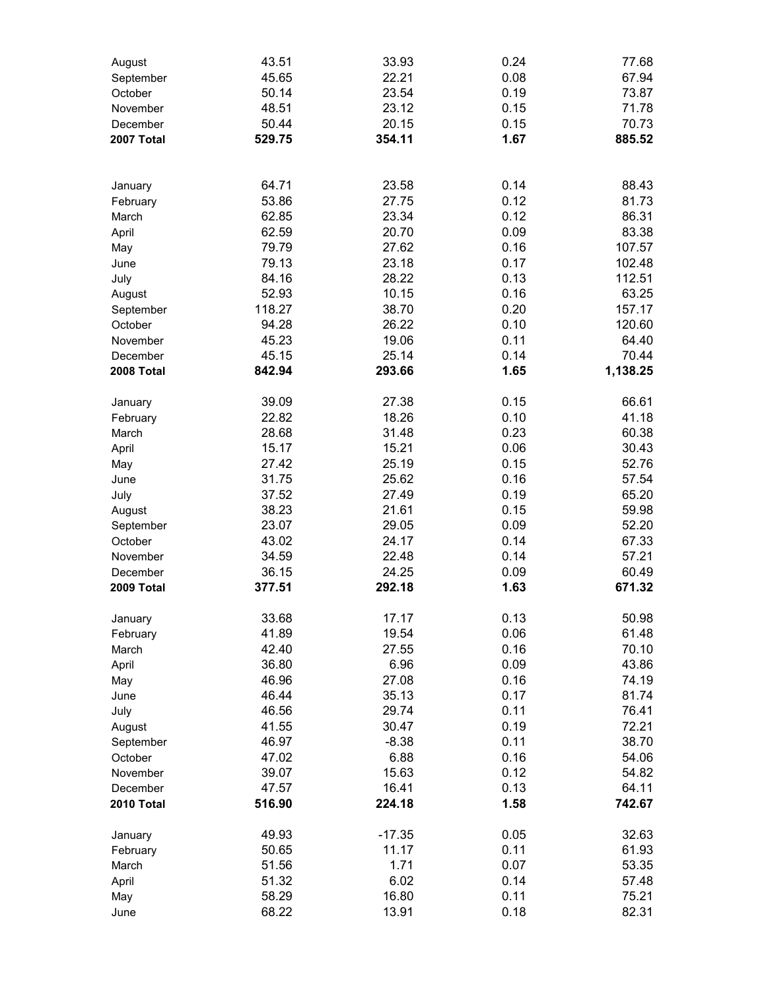| August     | 43.51  | 33.93    | 0.24 | 77.68    |
|------------|--------|----------|------|----------|
| September  | 45.65  | 22.21    | 0.08 | 67.94    |
| October    | 50.14  | 23.54    | 0.19 | 73.87    |
| November   | 48.51  | 23.12    | 0.15 | 71.78    |
| December   | 50.44  | 20.15    | 0.15 | 70.73    |
| 2007 Total | 529.75 | 354.11   | 1.67 | 885.52   |
|            |        |          |      |          |
| January    | 64.71  | 23.58    | 0.14 | 88.43    |
| February   | 53.86  | 27.75    | 0.12 | 81.73    |
| March      | 62.85  | 23.34    | 0.12 | 86.31    |
| April      | 62.59  | 20.70    | 0.09 | 83.38    |
| May        | 79.79  | 27.62    | 0.16 | 107.57   |
| June       | 79.13  | 23.18    | 0.17 | 102.48   |
| July       | 84.16  | 28.22    | 0.13 | 112.51   |
| August     | 52.93  | 10.15    | 0.16 | 63.25    |
| September  | 118.27 | 38.70    | 0.20 | 157.17   |
| October    | 94.28  | 26.22    | 0.10 | 120.60   |
| November   | 45.23  | 19.06    | 0.11 | 64.40    |
| December   | 45.15  | 25.14    | 0.14 | 70.44    |
| 2008 Total | 842.94 | 293.66   | 1.65 | 1,138.25 |
| January    | 39.09  | 27.38    | 0.15 | 66.61    |
| February   | 22.82  | 18.26    | 0.10 | 41.18    |
| March      | 28.68  | 31.48    | 0.23 | 60.38    |
| April      | 15.17  | 15.21    | 0.06 | 30.43    |
| May        | 27.42  | 25.19    | 0.15 | 52.76    |
| June       | 31.75  | 25.62    | 0.16 | 57.54    |
| July       | 37.52  | 27.49    | 0.19 | 65.20    |
| August     | 38.23  | 21.61    | 0.15 | 59.98    |
| September  | 23.07  | 29.05    | 0.09 | 52.20    |
| October    | 43.02  | 24.17    | 0.14 | 67.33    |
| November   | 34.59  | 22.48    | 0.14 | 57.21    |
| December   | 36.15  | 24.25    | 0.09 | 60.49    |
| 2009 Total | 377.51 | 292.18   | 1.63 | 671.32   |
| January    | 33.68  | 17.17    | 0.13 | 50.98    |
| February   | 41.89  | 19.54    | 0.06 | 61.48    |
| March      | 42.40  | 27.55    | 0.16 | 70.10    |
| April      | 36.80  | 6.96     | 0.09 | 43.86    |
| May        | 46.96  | 27.08    | 0.16 | 74.19    |
| June       | 46.44  | 35.13    | 0.17 | 81.74    |
| July       | 46.56  | 29.74    | 0.11 | 76.41    |
| August     | 41.55  | 30.47    | 0.19 | 72.21    |
| September  | 46.97  | $-8.38$  | 0.11 | 38.70    |
| October    | 47.02  | 6.88     | 0.16 | 54.06    |
| November   | 39.07  | 15.63    | 0.12 | 54.82    |
| December   | 47.57  | 16.41    | 0.13 | 64.11    |
| 2010 Total | 516.90 | 224.18   | 1.58 | 742.67   |
| January    | 49.93  | $-17.35$ | 0.05 | 32.63    |
| February   | 50.65  | 11.17    | 0.11 | 61.93    |
| March      | 51.56  | 1.71     | 0.07 | 53.35    |
| April      | 51.32  | 6.02     | 0.14 | 57.48    |
| May        | 58.29  | 16.80    | 0.11 | 75.21    |
| June       | 68.22  | 13.91    | 0.18 | 82.31    |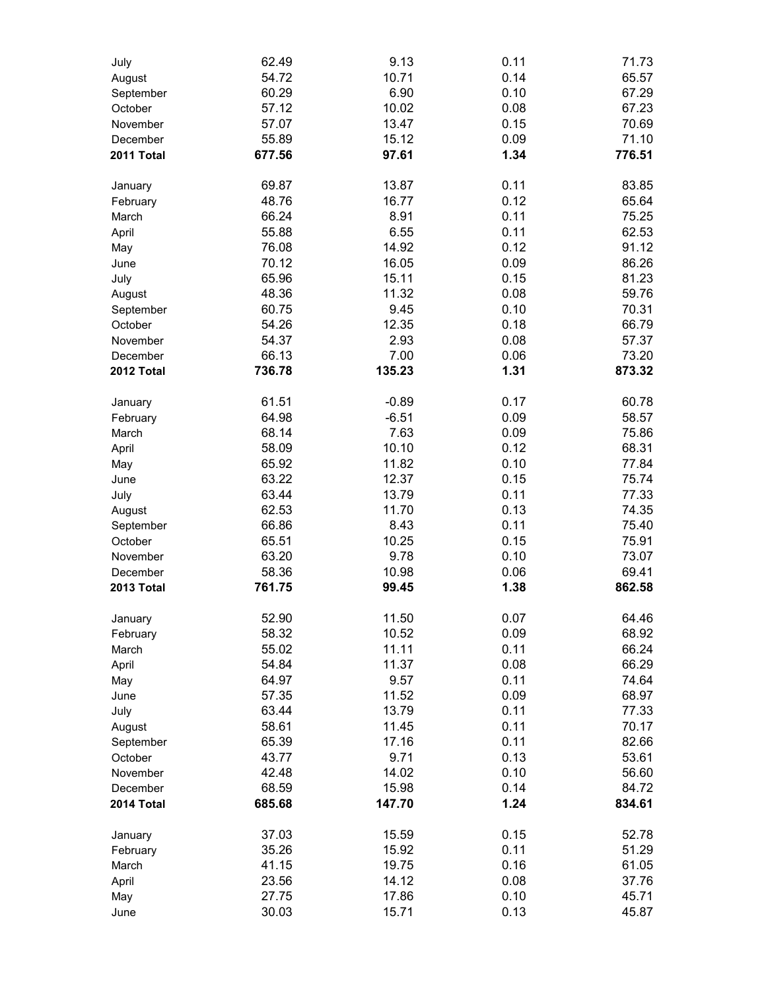| July       | 62.49          | 9.13           | 0.11         | 71.73          |
|------------|----------------|----------------|--------------|----------------|
| August     | 54.72          | 10.71          | 0.14         | 65.57          |
| September  | 60.29          | 6.90           | 0.10         | 67.29          |
| October    | 57.12          | 10.02          | 0.08         | 67.23          |
| November   | 57.07          | 13.47          | 0.15         | 70.69          |
| December   | 55.89          | 15.12          | 0.09         | 71.10          |
| 2011 Total | 677.56         | 97.61          | 1.34         | 776.51         |
|            |                |                |              |                |
| January    | 69.87<br>48.76 | 13.87<br>16.77 | 0.11<br>0.12 | 83.85<br>65.64 |
| February   | 66.24          | 8.91           |              |                |
| March      |                | 6.55           | 0.11         | 75.25          |
| April      | 55.88<br>76.08 | 14.92          | 0.11<br>0.12 | 62.53<br>91.12 |
| May        | 70.12          | 16.05          | 0.09         | 86.26          |
| June       |                |                |              | 81.23          |
| July       | 65.96          | 15.11          | 0.15         | 59.76          |
| August     | 48.36<br>60.75 | 11.32<br>9.45  | 0.08<br>0.10 | 70.31          |
| September  | 54.26          | 12.35          | 0.18         | 66.79          |
| October    | 54.37          | 2.93           | 0.08         | 57.37          |
| November   | 66.13          | 7.00           |              |                |
| December   |                |                | 0.06         | 73.20          |
| 2012 Total | 736.78         | 135.23         | 1.31         | 873.32         |
| January    | 61.51          | $-0.89$        | 0.17         | 60.78          |
| February   | 64.98          | $-6.51$        | 0.09         | 58.57          |
| March      | 68.14          | 7.63           | 0.09         | 75.86          |
| April      | 58.09          | 10.10          | 0.12         | 68.31          |
| May        | 65.92          | 11.82          | 0.10         | 77.84          |
| June       | 63.22          | 12.37          | 0.15         | 75.74          |
| July       | 63.44          | 13.79          | 0.11         | 77.33          |
| August     | 62.53          | 11.70          | 0.13         | 74.35          |
| September  | 66.86          | 8.43           | 0.11         | 75.40          |
| October    | 65.51          | 10.25          | 0.15         | 75.91          |
| November   | 63.20          | 9.78           | 0.10         | 73.07          |
| December   | 58.36          | 10.98          | 0.06         | 69.41          |
| 2013 Total | 761.75         | 99.45          | 1.38         | 862.58         |
| January    | 52.90          | 11.50          | 0.07         | 64.46          |
| February   | 58.32          | 10.52          | 0.09         | 68.92          |
| March      | 55.02          | 11.11          | 0.11         | 66.24          |
| April      | 54.84          | 11.37          | 0.08         | 66.29          |
| May        | 64.97          | 9.57           | 0.11         | 74.64          |
| June       | 57.35          | 11.52          | 0.09         | 68.97          |
| July       | 63.44          | 13.79          | 0.11         | 77.33          |
| August     | 58.61          | 11.45          | 0.11         | 70.17          |
| September  | 65.39          | 17.16          | 0.11         | 82.66          |
| October    | 43.77          | 9.71           | 0.13         | 53.61          |
| November   | 42.48          | 14.02          | 0.10         | 56.60          |
| December   | 68.59          | 15.98          | 0.14         | 84.72          |
| 2014 Total | 685.68         | 147.70         | 1.24         | 834.61         |
| January    | 37.03          | 15.59          | 0.15         | 52.78          |
| February   | 35.26          | 15.92          | 0.11         | 51.29          |
| March      | 41.15          | 19.75          | 0.16         | 61.05          |
| April      | 23.56          | 14.12          | 0.08         | 37.76          |
| May        | 27.75          | 17.86          | 0.10         | 45.71          |
| June       | 30.03          | 15.71          | 0.13         | 45.87          |
|            |                |                |              |                |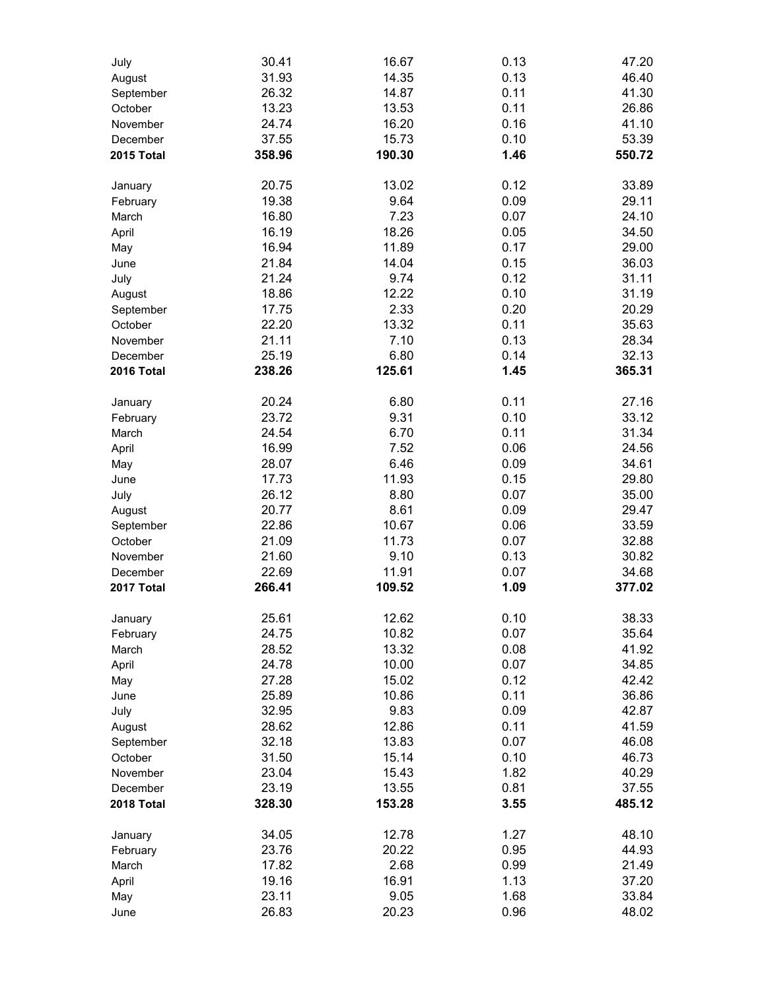| July       | 30.41  | 16.67  | 0.13 | 47.20  |
|------------|--------|--------|------|--------|
| August     | 31.93  | 14.35  | 0.13 | 46.40  |
| September  | 26.32  | 14.87  | 0.11 | 41.30  |
| October    | 13.23  | 13.53  | 0.11 | 26.86  |
| November   | 24.74  | 16.20  | 0.16 | 41.10  |
| December   | 37.55  | 15.73  | 0.10 | 53.39  |
| 2015 Total | 358.96 | 190.30 | 1.46 | 550.72 |
| January    | 20.75  | 13.02  | 0.12 | 33.89  |
| February   | 19.38  | 9.64   | 0.09 | 29.11  |
| March      | 16.80  | 7.23   | 0.07 | 24.10  |
| April      | 16.19  | 18.26  | 0.05 | 34.50  |
| May        | 16.94  | 11.89  | 0.17 | 29.00  |
| June       | 21.84  | 14.04  | 0.15 | 36.03  |
| July       | 21.24  | 9.74   | 0.12 | 31.11  |
| August     | 18.86  | 12.22  | 0.10 | 31.19  |
| September  | 17.75  | 2.33   | 0.20 | 20.29  |
| October    | 22.20  | 13.32  | 0.11 | 35.63  |
| November   | 21.11  | 7.10   | 0.13 | 28.34  |
| December   | 25.19  | 6.80   | 0.14 | 32.13  |
| 2016 Total | 238.26 | 125.61 | 1.45 | 365.31 |
| January    | 20.24  | 6.80   | 0.11 | 27.16  |
| February   | 23.72  | 9.31   | 0.10 | 33.12  |
| March      | 24.54  | 6.70   | 0.11 | 31.34  |
| April      | 16.99  | 7.52   | 0.06 | 24.56  |
| May        | 28.07  | 6.46   | 0.09 | 34.61  |
| June       | 17.73  | 11.93  | 0.15 | 29.80  |
| July       | 26.12  | 8.80   | 0.07 | 35.00  |
| August     | 20.77  | 8.61   | 0.09 | 29.47  |
| September  | 22.86  | 10.67  | 0.06 | 33.59  |
| October    | 21.09  | 11.73  | 0.07 | 32.88  |
| November   | 21.60  | 9.10   | 0.13 | 30.82  |
| December   | 22.69  | 11.91  | 0.07 | 34.68  |
| 2017 Total | 266.41 | 109.52 | 1.09 | 377.02 |
| January    | 25.61  | 12.62  | 0.10 | 38.33  |
| February   | 24.75  | 10.82  | 0.07 | 35.64  |
| March      | 28.52  | 13.32  | 0.08 | 41.92  |
| April      | 24.78  | 10.00  | 0.07 | 34.85  |
| May        | 27.28  | 15.02  | 0.12 | 42.42  |
| June       | 25.89  | 10.86  | 0.11 | 36.86  |
| July       | 32.95  | 9.83   | 0.09 | 42.87  |
| August     | 28.62  | 12.86  | 0.11 | 41.59  |
| September  | 32.18  | 13.83  | 0.07 | 46.08  |
| October    | 31.50  | 15.14  | 0.10 | 46.73  |
| November   | 23.04  | 15.43  | 1.82 | 40.29  |
| December   | 23.19  | 13.55  | 0.81 | 37.55  |
| 2018 Total | 328.30 | 153.28 | 3.55 | 485.12 |
| January    | 34.05  | 12.78  | 1.27 | 48.10  |
| February   | 23.76  | 20.22  | 0.95 | 44.93  |
| March      | 17.82  | 2.68   | 0.99 | 21.49  |
| April      | 19.16  | 16.91  | 1.13 | 37.20  |
| May        | 23.11  | 9.05   | 1.68 | 33.84  |
| June       | 26.83  | 20.23  | 0.96 | 48.02  |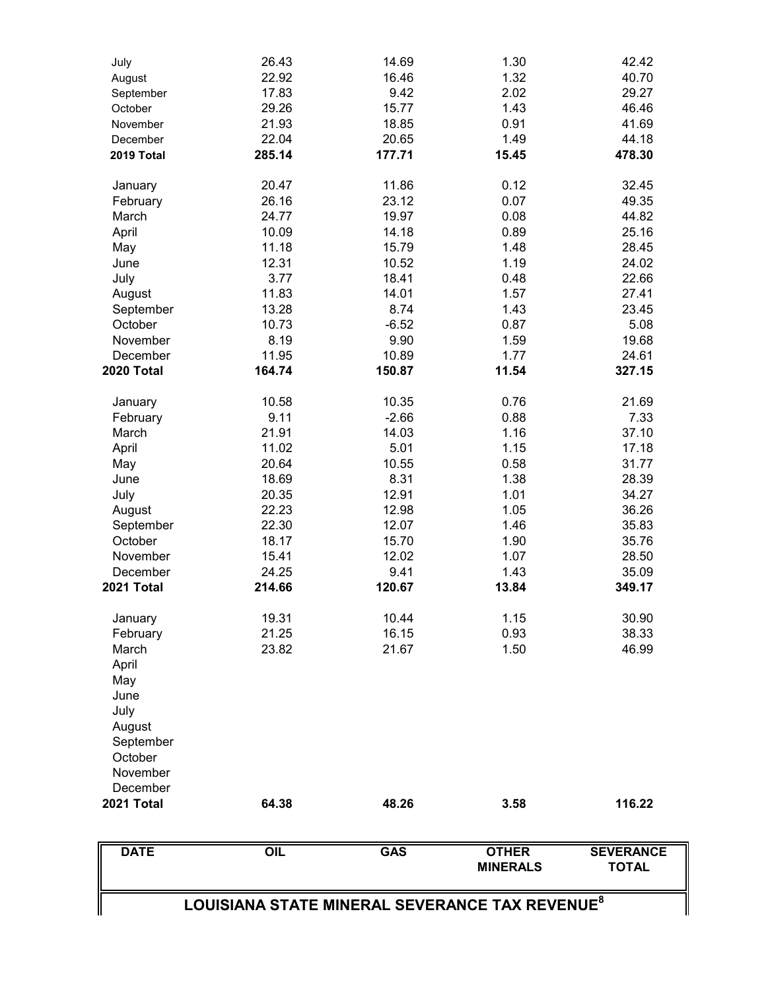| <b>DATE</b>         | OIL    | <b>GAS</b> | <b>OTHER</b><br><b>MINERALS</b> | <b>SEVERANCE</b><br><b>TOTAL</b> |
|---------------------|--------|------------|---------------------------------|----------------------------------|
|                     |        |            |                                 |                                  |
| 2021 Total          | 64.38  | 48.26      | 3.58                            | 116.22                           |
| December            |        |            |                                 |                                  |
| November            |        |            |                                 |                                  |
| October             |        |            |                                 |                                  |
| September           |        |            |                                 |                                  |
| August              |        |            |                                 |                                  |
| July                |        |            |                                 |                                  |
| June                |        |            |                                 |                                  |
| May                 |        |            |                                 |                                  |
| April               |        |            |                                 |                                  |
| March               | 23.82  | 21.67      | 1.50                            | 46.99                            |
| February            | 21.25  | 16.15      | 0.93                            | 38.33                            |
| January             | 19.31  | 10.44      | 1.15                            | 30.90                            |
|                     |        |            |                                 |                                  |
| 2021 Total          | 214.66 | 120.67     | 13.84                           | 349.17                           |
| December            | 24.25  | 9.41       | 1.43                            | 35.09                            |
| November            | 15.41  | 12.02      | 1.07                            | 28.50                            |
| October             | 18.17  | 15.70      | 1.90                            | 35.76                            |
| September           | 22.30  | 12.07      | 1.46                            | 35.83                            |
| August              | 22.23  | 12.98      | 1.05                            | 36.26                            |
| July                | 20.35  | 12.91      | 1.01                            | 34.27                            |
| June                | 18.69  | 8.31       | 1.38                            | 28.39                            |
| May                 | 20.64  | 10.55      | 0.58                            | 31.77                            |
| April               | 11.02  | 5.01       | 1.15                            | 17.18                            |
| March               | 21.91  | 14.03      | 1.16                            | 37.10                            |
| February            | 9.11   | $-2.66$    | 0.88                            | 7.33                             |
| January             | 10.58  | 10.35      | 0.76                            | 21.69                            |
|                     |        |            |                                 |                                  |
| 2020 Total          | 164.74 | 150.87     | 11.54                           | 327.15                           |
| December            | 11.95  | 10.89      | 1.77                            | 24.61                            |
| November            | 8.19   | 9.90       | 1.59                            | 19.68                            |
| October             | 10.73  | $-6.52$    | 0.87                            | 5.08                             |
| September           | 13.28  | 8.74       | 1.43                            | 23.45                            |
| August              | 11.83  | 14.01      | 1.57                            | 27.41                            |
| July                | 3.77   | 18.41      | 0.48                            | 22.66                            |
| June                | 12.31  | 10.52      | 1.19                            | 24.02                            |
| May                 | 11.18  | 15.79      | 1.48                            | 28.45                            |
| April               | 10.09  | 14.18      | 0.89                            | 25.16                            |
| March               | 24.77  | 19.97      | 0.08                            | 44.82                            |
| January<br>February | 26.16  | 23.12      | 0.07                            | 49.35                            |
|                     | 20.47  | 11.86      | 0.12                            | 32.45                            |
| 2019 Total          | 285.14 | 177.71     | 15.45                           | 478.30                           |
| December            | 22.04  | 20.65      | 1.49                            | 44.18                            |
| November            | 21.93  | 18.85      | 0.91                            | 41.69                            |
| October             | 29.26  | 15.77      | 1.43                            | 46.46                            |
| September           | 17.83  | 9.42       | 2.02                            | 29.27                            |
| August              | 22.92  | 16.46      | 1.32                            | 40.70                            |
| July                | 26.43  | 14.69      | 1.30                            | 42.42                            |
|                     |        |            |                                 |                                  |

**LOUISIANA STATE MINERAL SEVERANCE TAX REVENUE<sup>8</sup>**